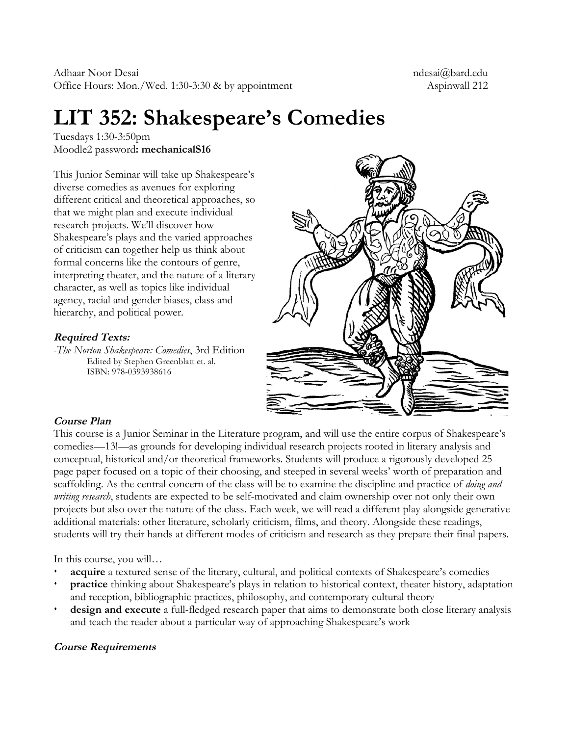# **LIT 352: Shakespeare's Comedies**

Tuesdays 1:30-3:50pm Moodle2 password**: mechanicalS16**

This Junior Seminar will take up Shakespeare's diverse comedies as avenues for exploring different critical and theoretical approaches, so that we might plan and execute individual research projects. We'll discover how Shakespeare's plays and the varied approaches of criticism can together help us think about formal concerns like the contours of genre, interpreting theater, and the nature of a literary character, as well as topics like individual agency, racial and gender biases, class and hierarchy, and political power.

# **Required Texts:**

*-The Norton Shakespeare: Comedies*, 3rd Edition Edited by Stephen Greenblatt et. al. ISBN: 978-0393938616



# **Course Plan**

This course is a Junior Seminar in the Literature program, and will use the entire corpus of Shakespeare's comedies—13!—as grounds for developing individual research projects rooted in literary analysis and conceptual, historical and/or theoretical frameworks. Students will produce a rigorously developed 25 page paper focused on a topic of their choosing, and steeped in several weeks' worth of preparation and scaffolding. As the central concern of the class will be to examine the discipline and practice of *doing and writing research*, students are expected to be self-motivated and claim ownership over not only their own projects but also over the nature of the class. Each week, we will read a different play alongside generative additional materials: other literature, scholarly criticism, films, and theory. Alongside these readings, students will try their hands at different modes of criticism and research as they prepare their final papers.

In this course, you will…

- ¶ **acquire** a textured sense of the literary, cultural, and political contexts of Shakespeare's comedies
- **practice** thinking about Shakespeare's plays in relation to historical context, theater history, adaptation and reception, bibliographic practices, philosophy, and contemporary cultural theory
- **design and execute** a full-fledged research paper that aims to demonstrate both close literary analysis and teach the reader about a particular way of approaching Shakespeare's work

# **Course Requirements**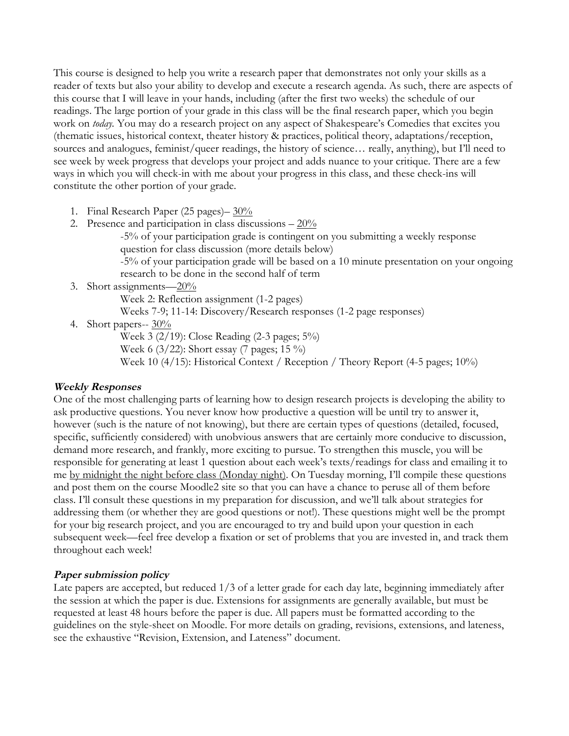This course is designed to help you write a research paper that demonstrates not only your skills as a reader of texts but also your ability to develop and execute a research agenda. As such, there are aspects of this course that I will leave in your hands, including (after the first two weeks) the schedule of our readings. The large portion of your grade in this class will be the final research paper, which you begin work on *today.* You may do a research project on any aspect of Shakespeare's Comedies that excites you (thematic issues, historical context, theater history & practices, political theory, adaptations/reception, sources and analogues, feminist/queer readings, the history of science... really, anything), but I'll need to see week by week progress that develops your project and adds nuance to your critique. There are a few ways in which you will check-in with me about your progress in this class, and these check-ins will constitute the other portion of your grade.

- 1. Final Research Paper (25 pages)– 30%
- 2. Presence and participation in class discussions  $-20\%$

-5% of your participation grade is contingent on you submitting a weekly response question for class discussion (more details below)

-5% of your participation grade will be based on a 10 minute presentation on your ongoing research to be done in the second half of term

3. Short assignments—20%

Week 2: Reflection assignment (1-2 pages)

Weeks 7-9; 11-14: Discovery/Research responses (1-2 page responses)

4. Short papers--  $30\%$ 

Week 3 (2/19): Close Reading (2-3 pages; 5%)

Week 6 (3/22): Short essay (7 pages; 15 %)

Week 10 (4/15): Historical Context / Reception / Theory Report (4-5 pages; 10%)

# **Weekly Responses**

One of the most challenging parts of learning how to design research projects is developing the ability to ask productive questions. You never know how productive a question will be until try to answer it, however (such is the nature of not knowing), but there are certain types of questions (detailed, focused, specific, sufficiently considered) with unobvious answers that are certainly more conducive to discussion, demand more research, and frankly, more exciting to pursue. To strengthen this muscle, you will be responsible for generating at least 1 question about each week's texts/readings for class and emailing it to me by midnight the night before class (Monday night). On Tuesday morning, I'll compile these questions and post them on the course Moodle2 site so that you can have a chance to peruse all of them before class. I'll consult these questions in my preparation for discussion, and we'll talk about strategies for addressing them (or whether they are good questions or not!). These questions might well be the prompt for your big research project, and you are encouraged to try and build upon your question in each subsequent week—feel free develop a fixation or set of problems that you are invested in, and track them throughout each week!

# **Paper submission policy**

Late papers are accepted, but reduced 1/3 of a letter grade for each day late, beginning immediately after the session at which the paper is due. Extensions for assignments are generally available, but must be requested at least 48 hours before the paper is due. All papers must be formatted according to the guidelines on the style-sheet on Moodle. For more details on grading, revisions, extensions, and lateness, see the exhaustive "Revision, Extension, and Lateness" document.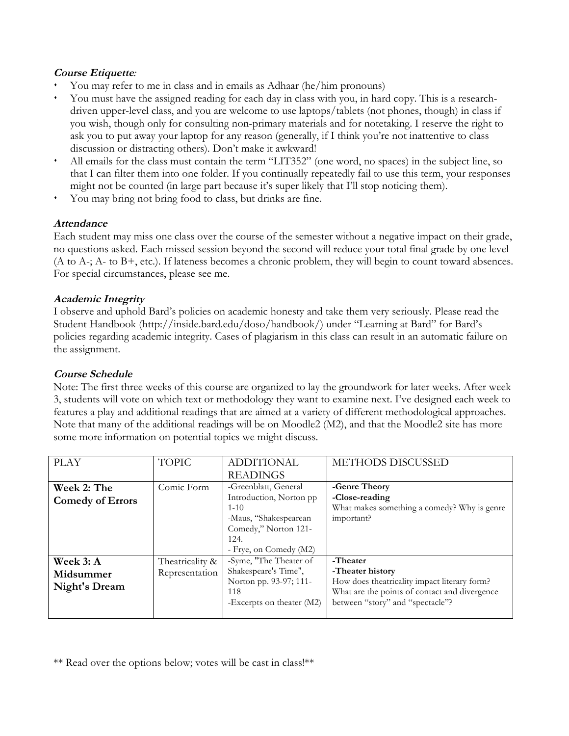### **Course Etiquette***:*

- ¶ You may refer to me in class and in emails as Adhaar (he/him pronouns)
- You must have the assigned reading for each day in class with you, in hard copy. This is a researchdriven upper-level class, and you are welcome to use laptops/tablets (not phones, though) in class if you wish, though only for consulting non-primary materials and for notetaking. I reserve the right to ask you to put away your laptop for any reason (generally, if I think you're not inattentive to class discussion or distracting others). Don't make it awkward!
- All emails for the class must contain the term "LIT352" (one word, no spaces) in the subject line, so that I can filter them into one folder. If you continually repeatedly fail to use this term, your responses might not be counted (in large part because it's super likely that I'll stop noticing them).
- ¶ You may bring not bring food to class, but drinks are fine.

# **Attendance**

Each student may miss one class over the course of the semester without a negative impact on their grade, no questions asked. Each missed session beyond the second will reduce your total final grade by one level (A to A-; A- to B+, etc.). If lateness becomes a chronic problem, they will begin to count toward absences. For special circumstances, please see me.

## **Academic Integrity**

I observe and uphold Bard's policies on academic honesty and take them very seriously. Please read the Student Handbook (http://inside.bard.edu/doso/handbook/) under "Learning at Bard" for Bard's policies regarding academic integrity. Cases of plagiarism in this class can result in an automatic failure on the assignment.

# **Course Schedule**

Note: The first three weeks of this course are organized to lay the groundwork for later weeks. After week 3, students will vote on which text or methodology they want to examine next. I've designed each week to features a play and additional readings that are aimed at a variety of different methodological approaches. Note that many of the additional readings will be on Moodle2 (M2), and that the Moodle2 site has more some more information on potential topics we might discuss.

| <b>PLAY</b>             | <b>TOPIC</b>    | <b>ADDITIONAL</b>           | METHODS DISCUSSED                             |
|-------------------------|-----------------|-----------------------------|-----------------------------------------------|
|                         |                 | <b>READINGS</b>             |                                               |
| Week 2: The             | Comic Form      | -Greenblatt, General        | -Genre Theory                                 |
| <b>Comedy of Errors</b> |                 | Introduction, Norton pp     | -Close-reading                                |
|                         |                 | $1 - 10$                    | What makes something a comedy? Why is genre   |
|                         |                 | -Maus, "Shakespearean       | important?                                    |
|                         |                 | Comedy," Norton 121-        |                                               |
|                         |                 | 124.                        |                                               |
|                         |                 | - Frye, on Comedy (M2)      |                                               |
| Week 3: A               | Theatricality & | -Syme, "The Theater of      | -Theater                                      |
| Midsummer               | Representation  | Shakespeare's Time",        | -Theater history                              |
|                         |                 | Norton pp. 93-97; 111-      | How does theatricality impact literary form?  |
| Night's Dream           |                 | 118                         | What are the points of contact and divergence |
|                         |                 | -Excerpts on theater $(M2)$ | between "story" and "spectacle"?              |
|                         |                 |                             |                                               |

\*\* Read over the options below; votes will be cast in class!\*\*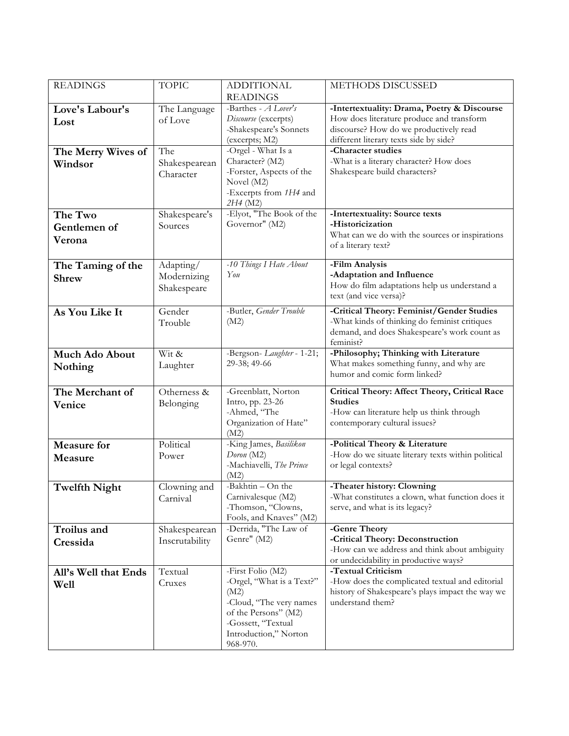| <b>READINGS</b>       | <b>TOPIC</b>   | <b>ADDITIONAL</b>                                | METHODS DISCUSSED                                                                        |
|-----------------------|----------------|--------------------------------------------------|------------------------------------------------------------------------------------------|
|                       |                | <b>READINGS</b>                                  |                                                                                          |
| Love's Labour's       | The Language   | -Barthes - A Lover's<br>Discourse (excerpts)     | -Intertextuality: Drama, Poetry & Discourse<br>How does literature produce and transform |
| Lost                  | of Love        | -Shakespeare's Sonnets                           | discourse? How do we productively read                                                   |
|                       |                | (excerpts; M2)                                   | different literary texts side by side?                                                   |
| The Merry Wives of    | The            | -Orgel - What Is a                               | -Character studies                                                                       |
| Windsor               | Shakespearean  | Character? (M2)                                  | -What is a literary character? How does                                                  |
|                       | Character      | -Forster, Aspects of the<br>Novel (M2)           | Shakespeare build characters?                                                            |
|                       |                | -Excerpts from 1H4 and                           |                                                                                          |
|                       |                | 2H4 (M2)                                         |                                                                                          |
| The Two               | Shakespeare's  | -Elyot, "The Book of the                         | -Intertextuality: Source texts                                                           |
| Gentlemen of          | Sources        | Governor" (M2)                                   | -Historicization<br>What can we do with the sources or inspirations                      |
| Verona                |                |                                                  | of a literary text?                                                                      |
|                       |                |                                                  |                                                                                          |
| The Taming of the     | Adapting/      | -10 Things I Hate About                          | -Film Analysis                                                                           |
| <b>Shrew</b>          | Modernizing    | You                                              | -Adaptation and Influence<br>How do film adaptations help us understand a                |
|                       | Shakespeare    |                                                  | text (and vice versa)?                                                                   |
| As You Like It        | Gender         | -Butler, Gender Trouble                          | -Critical Theory: Feminist/Gender Studies                                                |
|                       | Trouble        | (M2)                                             | -What kinds of thinking do feminist critiques                                            |
|                       |                |                                                  | demand, and does Shakespeare's work count as<br>feminist?                                |
| <b>Much Ado About</b> | Wit &          | -Bergson-Laughter - 1-21;                        | -Philosophy; Thinking with Literature                                                    |
| Nothing               | Laughter       | 29-38; 49-66                                     | What makes something funny, and why are                                                  |
|                       |                |                                                  | humor and comic form linked?                                                             |
| The Merchant of       | Otherness &    | -Greenblatt, Norton                              | Critical Theory: Affect Theory, Critical Race                                            |
| Venice                | Belonging      | Intro, pp. 23-26                                 | <b>Studies</b>                                                                           |
|                       |                | -Ahmed, "The<br>Organization of Hate"            | -How can literature help us think through<br>contemporary cultural issues?               |
|                       |                | (M2)                                             |                                                                                          |
| <b>Measure for</b>    | Political      | -King James, Basilikon                           | -Political Theory & Literature                                                           |
| Measure               | Power          | Doron (M2)                                       | -How do we situate literary texts within political                                       |
|                       |                | -Machiavelli, The Prince<br>(M2)                 | or legal contexts?                                                                       |
| <b>Twelfth Night</b>  | Clowning and   | -Bakhtin - On the                                | -Theater history: Clowning                                                               |
|                       | Carnival       | Carnivalesque (M2)                               | -What constitutes a clown, what function does it                                         |
|                       |                | -Thomson, "Clowns,                               | serve, and what is its legacy?                                                           |
| Troilus and           | Shakespearean  | Fools, and Knaves" (M2)<br>-Derrida, "The Law of | -Genre Theory                                                                            |
| Cressida              | Inscrutability | Genre" (M2)                                      | -Critical Theory: Deconstruction                                                         |
|                       |                |                                                  | -How can we address and think about ambiguity                                            |
|                       |                |                                                  | or undecidability in productive ways?                                                    |
| All's Well that Ends  | Textual        | -First Folio (M2)<br>-Orgel, "What is a Text?"   | -Textual Criticism<br>-How does the complicated textual and editorial                    |
| Well                  | Cruxes         | (M2)                                             | history of Shakespeare's plays impact the way we                                         |
|                       |                | -Cloud, "The very names                          | understand them?                                                                         |
|                       |                | of the Persons" (M2)                             |                                                                                          |
|                       |                | -Gossett, "Textual                               |                                                                                          |
|                       |                | Introduction," Norton<br>968-970.                |                                                                                          |
|                       |                |                                                  |                                                                                          |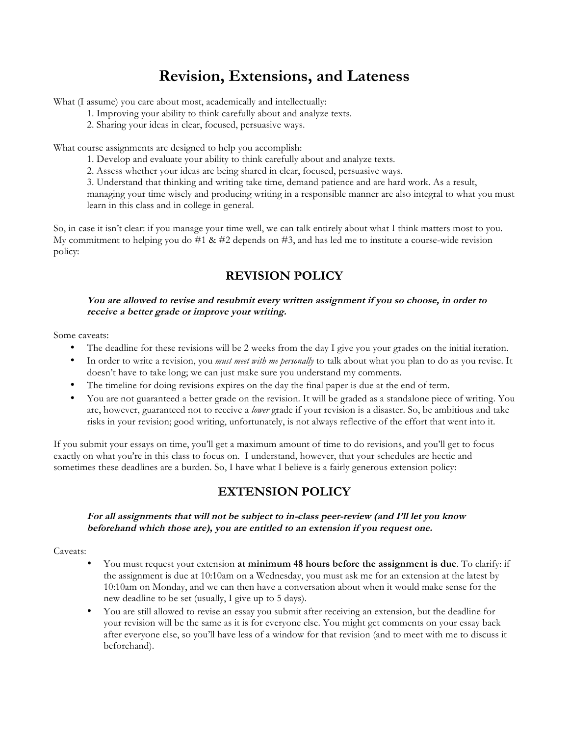# **Revision, Extensions, and Lateness**

What (I assume) you care about most, academically and intellectually:

- 1. Improving your ability to think carefully about and analyze texts.
- 2. Sharing your ideas in clear, focused, persuasive ways.

What course assignments are designed to help you accomplish:

- 1. Develop and evaluate your ability to think carefully about and analyze texts.
- 2. Assess whether your ideas are being shared in clear, focused, persuasive ways.
- 3. Understand that thinking and writing take time, demand patience and are hard work. As a result,

managing your time wisely and producing writing in a responsible manner are also integral to what you must learn in this class and in college in general.

So, in case it isn't clear: if you manage your time well, we can talk entirely about what I think matters most to you. My commitment to helping you do  $#1 \& #2$  depends on  $#3$ , and has led me to institute a course-wide revision policy:

# **REVISION POLICY**

### **You are allowed to revise and resubmit every written assignment if you so choose, in order to receive a better grade or improve your writing.**

Some caveats:

- The deadline for these revisions will be 2 weeks from the day I give you your grades on the initial iteration.
- In order to write a revision, you *must meet with me personally* to talk about what you plan to do as you revise. It doesn't have to take long; we can just make sure you understand my comments.
- The timeline for doing revisions expires on the day the final paper is due at the end of term.
- You are not guaranteed a better grade on the revision. It will be graded as a standalone piece of writing. You are, however, guaranteed not to receive a *lower* grade if your revision is a disaster. So, be ambitious and take risks in your revision; good writing, unfortunately, is not always reflective of the effort that went into it.

If you submit your essays on time, you'll get a maximum amount of time to do revisions, and you'll get to focus exactly on what you're in this class to focus on. I understand, however, that your schedules are hectic and sometimes these deadlines are a burden. So, I have what I believe is a fairly generous extension policy:

# **EXTENSION POLICY**

### **For all assignments that will not be subject to in-class peer-review (and I'll let you know beforehand which those are), you are entitled to an extension if you request one.**

#### Caveats:

- You must request your extension **at minimum 48 hours before the assignment is due**. To clarify: if the assignment is due at 10:10am on a Wednesday, you must ask me for an extension at the latest by 10:10am on Monday, and we can then have a conversation about when it would make sense for the new deadline to be set (usually, I give up to 5 days).
- You are still allowed to revise an essay you submit after receiving an extension, but the deadline for your revision will be the same as it is for everyone else. You might get comments on your essay back after everyone else, so you'll have less of a window for that revision (and to meet with me to discuss it beforehand).